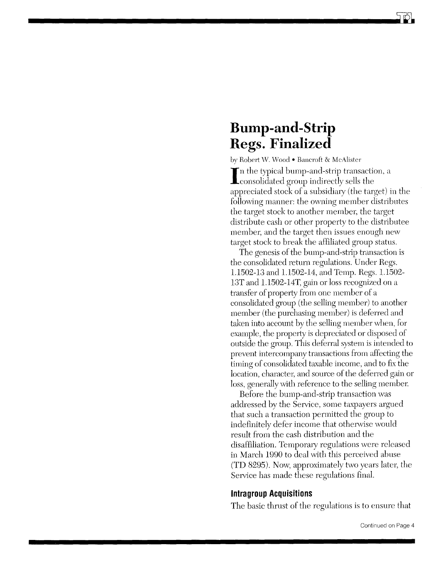# **Bump-and-Strip Regs. Finalized**

by Robert W. Wood • Bancroft & McAlister I consolidated group indirectly sells the  $\blacksquare$  n the typical bump-and-strip transaction, a

appreciated stock of a subsidiary (the target) in the following manner: the owning member distributes the target stock to another member, the target distribute cash or other property to the distributee member, and the target then issues enough new target stock to break the affiliated group status.

The genesis of the bump-and-strip transaction is the consolidated return regulations. Under Regs. 1.1502-13 and 1.1502-14, and Temp. Regs. 1.1502- 13T and 1. 1502-14T, gain or loss recognized on a transfer of property from one member of a consolidated group (the selling member) to another member (the purchasing member) is deferred and taken into account by the selling member when, for example, the property is depreciated or disposed of outside the group. This deferral system is intended to prevent intercompany transactions from affecting the timing of consolidated taxable income, and to fix the location, character, and source of the deferred gain or loss, generally with reference to the selling member.

Before the bump-and-strip transaction was addressed by the Service, some taxpayers argued that such a transaction permitted the group to indefinitely defer income that otherwise would result from the cash distribution and the disaffiliation. Temporary regulations were released in March 1990 to deal with this perceived abuse (TD 8295). Now, approximately two years later, the Service has made these regulations final.

# **Intragroup Acquisitions**

The basic thrust of the regulations is to ensure that